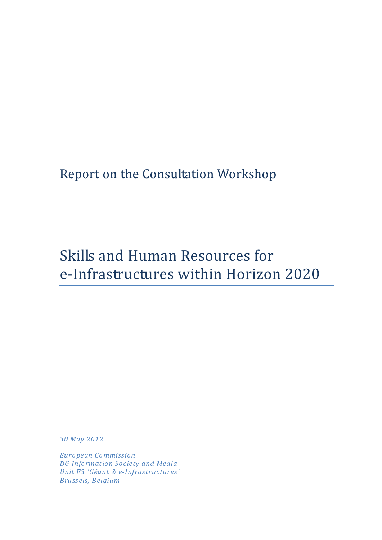# Report on the Consultation Workshop

# Skills and Human Resources for e-Infrastructures within Horizon 2020

30 May 2012

European Commission DG Information Society and Media Unit F3 'Géant & e-Infrastructures' Brussels, Belgium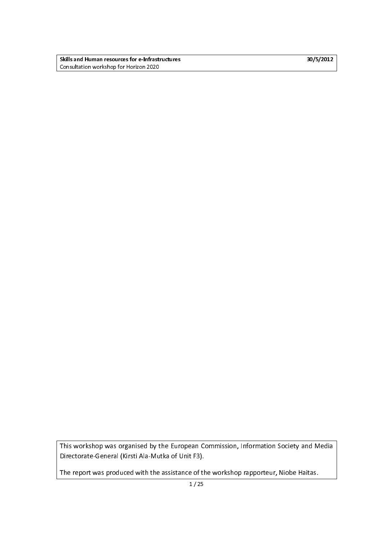Skills and Human resources for e-Infrastructures 30/5/2012 and Human resources 30/5/2012 Consultation workshop for Horizon 2020

  $\frac{1}{\sqrt{2}}$ This workshop was organised by the European Commission, Information Society and Media Directorate-General (Kirsti Ala-Mutka of Unit F3).

The report was produced with the assistance of the workshop rapporteur, Niobe Haitas.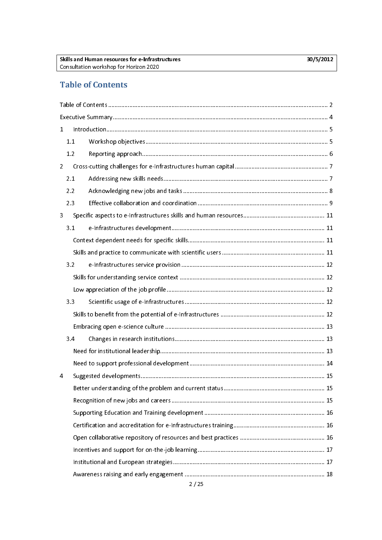## Table of Contents

| $\mathbf{1}$   |     |      |  |  |  |
|----------------|-----|------|--|--|--|
|                | 1.1 |      |  |  |  |
|                | 1.2 |      |  |  |  |
| $\overline{2}$ |     |      |  |  |  |
|                | 2.1 |      |  |  |  |
|                | 2.2 |      |  |  |  |
|                | 2.3 |      |  |  |  |
| 3              |     |      |  |  |  |
|                | 3.1 |      |  |  |  |
|                |     |      |  |  |  |
|                |     |      |  |  |  |
|                | 3.2 |      |  |  |  |
|                |     |      |  |  |  |
|                |     |      |  |  |  |
|                | 3.3 |      |  |  |  |
|                |     |      |  |  |  |
|                |     |      |  |  |  |
|                | 3.4 |      |  |  |  |
|                |     |      |  |  |  |
|                |     |      |  |  |  |
| 4              |     |      |  |  |  |
|                |     |      |  |  |  |
|                |     |      |  |  |  |
|                |     |      |  |  |  |
|                |     |      |  |  |  |
|                |     |      |  |  |  |
|                |     |      |  |  |  |
|                |     |      |  |  |  |
|                |     |      |  |  |  |
|                |     | 2/25 |  |  |  |
|                |     |      |  |  |  |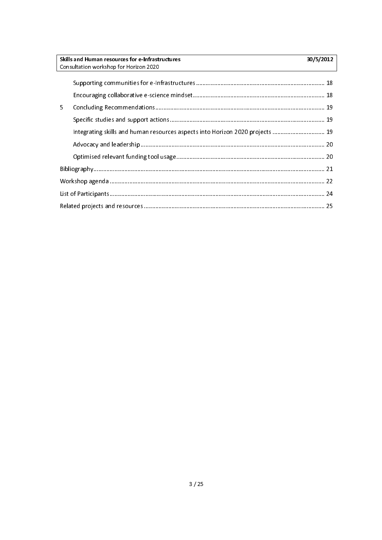| Skills and Human resources for e-Infrastructures<br>30/5/2012                 |  |  |
|-------------------------------------------------------------------------------|--|--|
| Consultation workshop for Horizon 2020                                        |  |  |
|                                                                               |  |  |
|                                                                               |  |  |
| 5.                                                                            |  |  |
|                                                                               |  |  |
| Integrating skills and human resources aspects into Horizon 2020 projects  19 |  |  |
|                                                                               |  |  |
|                                                                               |  |  |
|                                                                               |  |  |
|                                                                               |  |  |
|                                                                               |  |  |
|                                                                               |  |  |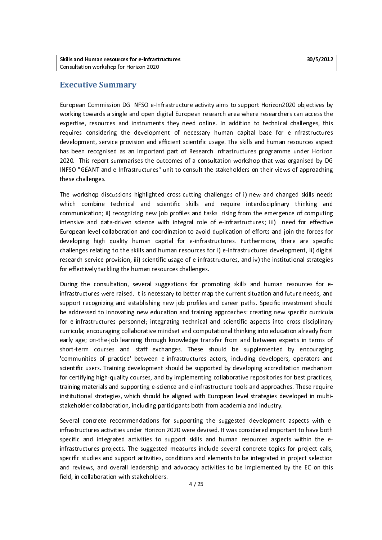#### Executive Summary

European Commission During towards a single and open digital European research area where researchers can access the<br>Expertise, resources and instruments they need online. In addition to technical challenges, this<br>European expertise, resources and instruments they need online. In addition to technical challenges, this<br>requires considering the development of necessary human capital base for e-Infrastructures<br>development, service provision and requires considering the development of necessary human capital base for e-Infrastructures<br>development, service provision and efficient scientific usage. The skills and human resources aspect<br>has been recognised as an impo requires considering the development of necessary human capital base for e-infrastructures<br>development, service provision and efficient scientific usage. The skills and human resources aspect<br>has been recognised as an impo development of the service provides has been recognised as an important part of Research Infrastructures programme under Horizon<br>2020. This report summarises the outcomes of a consultation workshop that was organised by DG 2020. This report summarises the outcomes of a consultation workshop that was organised by DG<br>INFSO "GÉANT and e-Infrastructures" unit to consult the stakeholders on their views of approaching<br>these challenges. INFSO "GÉANT and e-Infrastructures" unit to consult the stakeholders on their views of approaching<br>these challenges. these challenges.<br>Infrastructure<br>The workshop discussions highlighted cross-cutting challenges of i) new and changed skills needs

ی<br>The workshop di:<br>which combine Which combine technical and scientific skills and require interdisciplinary thinking and<br>communication; ii) recognizing new job profiles and tasks rising from the emergence of computing<br>intensive and data-driven science wi communication; ii) recognizing new job profiles and tasks rising from the emergence of computing<br>intensive and data-driven science with integral role of e-infrastructures; iii) need for effective<br>European level collaborati communication; in proceduling new job promote and tasks rising from the emergence of compution;<br>intensive and data-driven science with integral role of e-infrastructures; iii) need for effective<br>European level collaboratio European level collaboration and coordination to avoid duplication of efforts and join the forces for<br>developing high quality human capital for e-infrastructures. Furthermore, there are specific<br>challenges relating to the Europing high quality human capital for e-infrastructures. Furthermore, there are specific<br>
challenges relating to the skills and human resources for i) e-infrastructures development, ii) digital<br>
research service provisio challenges relating to the skills and human resources for i) e-infrastructures development, ii) digital research service provision, iii) scientific usage of e-infrastructures, and iv) the institutional strategies for effec research service provision, iii) scientific usage of e-infrastructures, and iv) the institutional strategies

During the consultation, several suggestions for promoting skills and human resources for einfrastructures were raised. It is necessary to better map the current situation and future needs, and be addressed to innovating new education and training approaches: creating new specific curricula<br>for e-infrastructures personnel; integrating technical and scientific aspects into cross-disciplinary<br>curricula; encouraging support recognizing and establishing new job profiles and career paths. Specific investment should for e-infrastructures personnel; integrating technical and scientific aspects into cross-disciplinary<br>curricula; encouraging collaborative mindset and computational thinking into education already from For e-infrared; integrational curricula; entitydation and computational thinking into education already from<br>For early age; on-the-job learning through knowledge transfer from and between experts in terms of<br>Short-term cou early age; on-the-job learning through knowledge transfer from and between experts in terms of<br>short-term courses and staff exchanges. These should be supplemented by encouraging<br>communities of practice' between e-infrastr external courses and staff exchanges. These should be supplemented by encouraging<br>
"communities of practice' between e-infrastructures actors, including developers, operators and<br>
scientific users. Training development sho short-term counters and start courses these short-term is empressively. Successing<br>
Such these shown interests and scientific users, Training development should be supported by developing accreditation mechanism<br>
for certi scientific users. Training development should be supported by developing accreditation mechanism<br>for certifying high-quality courses, and by implementing collaborative repositories for best practices,<br>training materials an scientific users. Training development showing to supported by developing accreditation in securition<br>for certifying high-quality courses, and by implementing collaborative repositories for best practices,<br>training materia fraining materials and supporting e-science and e-infrastructure tools and approaches. These require<br>institutional strategies, which should be aligned with European level strategies developed in multi-<br>stakeholder collabor training materials and strategies, which should be aligned with European level strategies developed in multi-<br>stakeholder collaboration, including participants both from academia and industry.

Several concrete recommendations for supporting the suggested development aspects with estakeholder collaboration, including the suggested development<br>infrastructures activities under Horizon 2020 were devised. It was considered impo infrastructures projects. The suggested measures include several concrete topics for project calls, infrastructures activities under Horizon 2020 were devised. It was considered important to have both specific and integrated and support selectivity support and human resources and human resources and reviews, and overall leadership and advocacy activities to be implemented by the EC on this field, in collaboration with s specific studies and support activities, conditions and elements to be integrated in project selection and reviews, and overall leadership and advocacy activities to be implemented by the EC on this field, in collaboration and reviews, and overall leadership and advocacy activities to be implemented by the EC on this<br>field, in collaboration with stakeholders.<br> $4/25$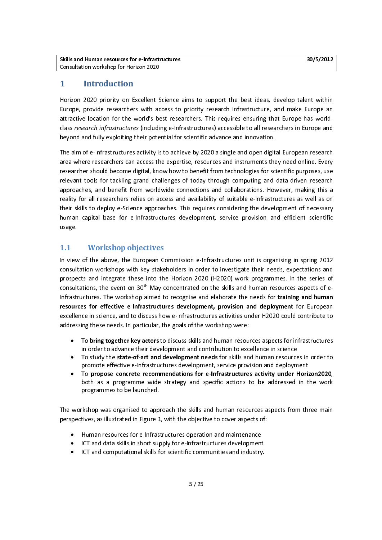#### $\mathbf{1}$ **Introduction**

Horizon 2020 priority on Excellent Science aims to support the best ideas, develop talent within<br>Europe, provide researchers with access to priority research infrastructure, and make Europe an attractive location for the world's best researchers. This requires ensuring that Europe has world-<br>class *research infrastructures* (including e-Infrastructures) accessible to all researchers in Europe and<br>beyond and full class research infrastructures (including e-Infrastructures) accessible to all researchers in Europe and class *research infrastructures (*including e-Infrastructures) accessible to all researchers in Europe and<br>beyond and fully exploiting their potential for scientific advance and innovation.<br>The aim of e-Infrastructures act

beyond and fully exploiting their potential for scientific advance and innovation.<br>The aim of e-Infrastructures activity is to achieve by 2020 a single and open digit<br>area where researchers can access the expertise, resour The aim of e-Infrared where researchers can access the expertise, resources and instruments they need online. Every<br>The searcher should become digital, know how to benefit from technologies for scientific purposes, use<br>The researcher should become digital, know how to benefit from technologies for scientific purposes, use<br>relevant tools for tackling grand challenges of today through computing and data-driven research<br>approaches, and benefit relevant tools for tackling grand challenges of today through computing and data-driven research<br>the produches, and benefit from worldwide connections and collaborations. However, making this a<br>reality for all researchers approaches, and benefit from worldwide connections and collaborations. However, making this a<br>reality for all researchers relies on access and availability of suitable e-Infrastructures as well as on<br>their skills to deploy reality for all researchers relies on access and availability of suitable e-Infrastructures as well as on<br>their skills to deploy e-Science approaches. This requires considering the development of necessary reality for all researchers relies in access and arranged, to suitable e-infrastructure as it in the<br>their skills to deploy e-Science approaches. This requires considering the development of necessary<br>human capital base fo their state is deploy a successary experience and requires constanting the development of necessary<br>human capital base for e-Infrastructures development, service provision and efficient scientific<br>usage. usage.<br>11 Morkshop objectives development, service provision and effective provision and effectives usage.<br>1.1 Workshop objectives<br>In view of the above, the European Commission e-Infrastructures unit is organising in spring 2012

### **Workshop objectives**

consultation workshops with key stakeholders in order to investigate their needs, expectations and<br>prospects and integrate these into the Horizon 2020 (H2020) work programmes. In the series of prospects and integrate these into the Horizon 2020 (H2020) work programmes. In the series of<br>consultations, the event on 30<sup>th</sup> May concentrated on the skills and human resources aspects of e-<br>Infrastructures. The worksho prospects and integrate these integrate the Horizon 2021 (H2021) work programmes in the series of e-<br>infrastructures. The workshop aimed to recognise and elaborate the needs for training and human<br>resources for effective e Infrastructures. The workshop aimed to recognise and elaborate the needs for training and human resources for effective e-Infrastructures development, provision and deployment for European excellence in science, and to discuss how e-Infrastructures activities under H2020 could contribute to addressing these needs. In excellence in science, and to discuss how e-Infrastructures activities under H2020 could contribute to excellence in science, and to discuss how e-Infrastructure activities under H2O2 could contribute to<br>addressing these needs. In particular, the goals of the workshop were:<br>To bring together key actors to discuss skills and

- addressing these needs in particular, the goals of the working theory.<br>
In order to advance their development and contribution to exc
	- in order to advance their development and contribution to excellence in science<br>To study the **state-of-art and development needs** for skills and human resources in order to<br>promote effective e-Infrastructures development, •
	- To propose concrete recommendations for e-Infrastructures activity under Horizon2020, To study the state-of-art and development needs for skills and human resources in order to<br>promote effective e-Infrastructures development, service provision and deployment<br>To **propose concrete recommendations for e-Infras** promote enterthermal control process, the protective material propose concrete recommendations for e-Infrastructures activity under Horiz both as a programme wide strategy and specific actions to be addressed in the progra • To propose concrete recommendations for e-Infrastructures activity under Horizon2020,<br>both as a programme wide strategy and specific actions to be addressed in the work<br>programmes to be launched. both as a programme wide strategy and specific actions to be and specific actions to be launched.<br>programmes to be launched.<br>kshop was organised to approach the skills and human resources aspects from three main

program<br>rkshop was organised to app<br>tives as illustrated in Figure 1 perspectives, as illustrated in Figure 1, with the objective to cover aspects of:<br>• Human resources for e-Infrastructures operation and maintenance

- •
- ICT and data skills in short supply for e-Infrastructures development Human resources for a minimized state of permane and maintenance<br>ICT and data skills in short supply for e-Infrastructures development<br>ICT and computational skills for scientific communities and industry •
- ICT and computational skills for scientific communities and industry.<br>ICT and computational skills for scientific communities and industry. •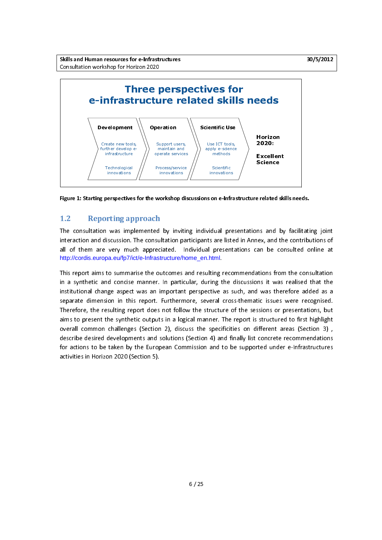Skills and Human resources for e-Infrastructures 30/5/2012 and Human resources 30/5/2012



 $\overline{a}$ Figure 1: Starting perspectives for the workshop discussions on e-Infrastructure related skills needs.

1.2 Reporting approach<br>The consultation was implemented by inviting individual presentations and by facilitating joint interaction and discussion. The consultation participants are listed in Annex, and the contributions of all of them are very much appreciated. Individual presentations can be consulted online at http://cordis.europa.eu/fp7/ict/e-Infrastructure/home\_en.html.

Further develop e-<br>
Infrastructure<br>
Technological<br>
Innovations<br> **Create of the properties of the synthetic state of the synthetic state of the synthetic ange aspect**<br>
Nopa.eu/fp7/ict.<br>
Substand concise I<br>
ange aspect \nsid and concise<br>ange aspect<br>msion in this<br>resulting rep<br>t the syntheti<br>on challenges<br>be taken by t<br>izon 2020 (Se Technological<br>innovations<br>**areformations**<br>**perspective**<br>**proprietive**<br>**proprietive**<br>**proprietive**<br>**proprietive**<br>**proprietive**<br>**proprietive**<br>**proprietive**<br>**proprietive**<br>**challenge**<br>**developm**<br>**taken by**<br>**taken by**<br>**on 2020** innovations<br> **The Control**<br> **The Control**<br> **The Control**<br> **The Control**<br> **The Control**<br> **The Control**<br> **The Control**<br> **The Control**<br> **The Control**<br> **The Control**<br> **The Control**<br> **The Control**<br> **The Control**<br> **The Control**<br> innovations maintain and<br>Process/service<br>Process/service<br>innovations<br>**workshop distructure and the content of the section of the service of the service of the service of the service of the service of the service of the service of the** process/service<br>rocess/service<br>innovations<br>**workshop di**<br>**1**<br>**d** by inviti<br>ultation paint in a log structure/houtcomes a<br>. In partice<br>important Furtherm<br>s not follo<br>ts in a log<br>solutions<br>ppean Com<br>. Process/service<br>
innovations<br> **workshop district in the service of the service of the service of the service of the service of the service of the service of the service of the service of the service of the service of the s** innovations<br> **Workshop district to the control**<br> **h**<br>
eciated. In<br>
astructure/he<br>
outcomes a<br>
r. In partic<br>
inportant<br>
in partic Furtherm<br>
s not follow<br>
uts in a logi<br>
d solutions<br>
opean Com<br>
). innovations apply e-science<br>
methods<br>
Scientific<br>
innovations<br> **Sone-Infra**<br> **Sone-Infra**<br>
vidual pre<br>
sone-Infra<br>
vidual pre<br>
stare liste<br>
lister as surveral cross<br>
tructure of<br>
oner. The r<br>
specificitie<br>
14) and fir<br>
and to be methods<br>
Scientific<br>
innovations<br> **as on e-Infras**<br> **as on e-Infras**<br>
vidual press<br>
ats are listed<br>
al presentar<br> **html.**<br>
ulting recom<br>
uring the di<br>
ective as surveral cross-<br>
structure of<br>
nner. The re<br>
specificitie<br>
n Scientific<br>
Scientific<br> **Don e-Inf**<br> **Jual p**<br> **are lissed presentifical**<br> **implementage of the content of the pecifici**<br> **pecifici**<br> **content of the pecifici**<br> **content of the pecifici**<br> **content**<br> **content**<br> **content**<br> novation<br> **School of Equation**<br>
School of Pieser<br>
Scribing recentification<br>
Scribing the astral crown and to<br>
(a) and to<br>
(a) and to **indual**<br> **ion e-Infr**<br> **idual** present<br> **ion e-Infr**<br> **ion e-Infr**<br> **ion e-Infr**<br> **ion e-Infrant**<br> **ion e-Infranta**<br> **ion e-Infranta**<br> **ion e-Infranta**<br> **ion e-Infrantaal**<br> **ion e-Infrantaal**<br> **ion e-Infrantaal**<br> **ion div** This report aims to summarise the outcomes and resulting recommendations from the consultation<br>in a synthetic and concise manner. In particular, during the discussions it was realised that the t In a synthetic and concise manner. In particular, during the discussions it was realised that the<br>Institutional change aspect was an important perspective as such, and was therefore added as a<br>separate dimension in this re institutional change aspect was an important perspective as such, and was therefore added as a<br>separate dimension in this report. Furthermore, several cross-thematic issues were recognised.<br>Therefore, the resulting report institutional change aspect that an imperium perspective as such, and the interest as a<br>separate dimension in this report. Furthermore, several cross-thematic issues were recognised.<br>Therefore, the resulting report does no Therefore, the resulting report does not follow the structure of the sessions or presentations, but<br>aims to present the synthetic outputs in a logical manner. The report is structured to first highlight<br>overall common chal Therefore, Therefort is structured to first highlight<br>Therefore, Therefort is structured to first highlight<br>overall common challenges (Section 2), discuss the specificities on different areas (Section 3),<br>describe desired overall common challenges (Section 2), discuss the specificities on different areas (Section 3), describe desired developments and solutions (Section 4) and finally list concrete recommendations<br>for actions to be taken by overall common challenges (Section 2), and the specificities on anti-common charge (Section 4), describe desired developments and solutions (Section 4) and finally list concrete recommendations<br>for actions to be taken by t for actions to be taken by the European Commission and to be supported under e-Infrastructures activities in Horizon 2020 (Section 5). for activities in Horizon 2020 (Section 5).<br>activities in Horizon 2020 (Section 5).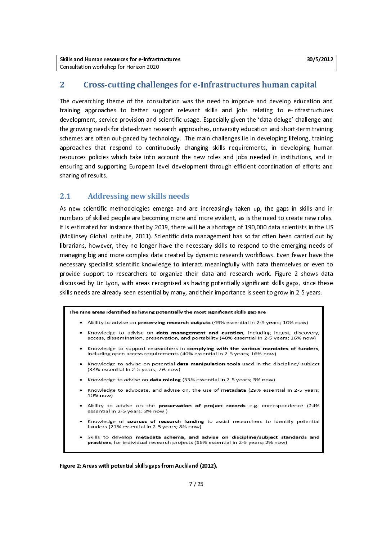### 2 Cross-cutting challenges for e-Infrastructures human capital

The overarching theme of the consultation was the need to improve and develop education and training approaches to better support relevant skills and jobs relating to e-Infrastructures development, service provision and scientific usage. Especially given the 'data deluge' challenge and<br>the growing needs for data-driven research approaches, university education and short-term training<br>schemes are often ou the growing needs for data-driven research approaches, university education and short-term training the growing needs for data-driven research approaches are often out-paced by technology. The main challenges lie in developing lifelong, training<br>approaches that respond to continuously changing skills requirements, in dev schemes are over the paced by continuously changing skills requirements, in developing human<br>resources policies which take into account the new roles and jobs needed in institutions, and in<br>ensuring and supporting European resources policies which take into account the new roles and jobs needed in institutions, and in ensuring and supporting European level development through efficient coordination of efforts and sharing of results. ensuring and supporting European level development through efficient coordination of efforts and ensuring and supporting European level development through efficient coordination of efforts and sharing of results.<br>2.1. Addressing now skills noods

# es<br>2.1 Addressing new skills needs

As new scientific methodologies emerge and the increasingly taken up, the gaps in state methodologies in the<br>As numbers of skilled people are becoming more and more evident, as is the need to create new roles.<br>It is estima It is estimated for instance that by 2019, there will be a shortage of 190,000 data scientists in the US<br>(McKinsey Global Institute, 2011). Scientific data management has so far often been carried out by<br>librarians, howeve (McKinsey Global Institute, 2011). Scientific data management has so far often been carried out by<br>librarians, however, they no longer have the necessary skills to respond to the emerging needs of (McChinsey Global Institute), 2012). Scientific institutional politicial institute out between carried of<br>Iibrarians, however, they no longer have the necessary skills to respond to the emerging needs of<br>managing big and m managing big and more complex data created by dynamic research workflows. Even fewer have the necessary specialist scientific knowledge to interact meaningfully with data themselves or even to provide support to researcher necessary specialist scientific knowledge to interact meaningfully with data themselves or even to<br>provide support to researchers to organize their data and research work. Figure 2 shows data discussed by Liz Lyon, with areas recognised as having potentially significant skills gaps, since these provide support to refer to the support of the support discussed by Liz Lyon, with areas recognised as having potentially significant skills gaps, since these<br>skills needs are already seen essential by many, and their impo skills needs are already seen essential by many, and their importance is seen to grow in 2-5 years.<br>The nine areas identified as having potentially the most significant skills gap are



- Knowledge to advise on data management and curation, including ingest, discovery, access, dissemination, preservation, and portability (48% essential in 2-5 years; 16% now)
- Knowledge to support researchers in complying with the various mandates of funders, including open access requirements (40% essential in 2-5 years; 16% now)
- Knowledge to advise on potential data manipulation tools used in the discipline/ subject (34% essential in 2-5 years; 7% now)
- Knowledge to advise on data mining (33% essential in 2-5 years; 3% now)
- Knowledge to advocate, and advise on, the use of metadata (29% essential in 2-5 years; 10% now)
- Ability to advise on the preservation of project records e.g. correspondence (24% essential in 2-5 years; 3% now)
- Knowledge of sources of research funding to assist researchers to identify potential funders (21% essential in 2-5 years; 8% now)
- Skills to develop metadata schema, and advise on discipline/subject standards and practices, for individual research projects (16% essential in 2-5 years; 2% now)

Figure 2: Areas with potential skills gaps from Auckland (2012).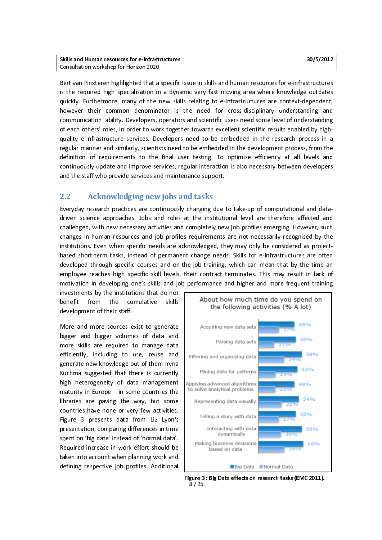Bert van Pinxteren highlighted that a specific issue in skills and human resources for e-infrastructures is the required high specialisation in a dynamic very fast moving area where knowledge outdates quickly. Furthermore, many of the new skills relating to e-Infrastructures are context-dependent, however their common denominator is the need for cross-disciplinary understanding and<br>communication ability. Developers, operators and scientific users need some level of understanding<br>of each others' roles, in order to wo communication ability. Developers, operators and scientific users need some level of understanding quality e-Infrastructure services. Developers need to be embedded in the research process in a<br>regular manner and similarly, scientists need to be embedded in the development process, from the definition of requirements to the final user testing. To optimise efficiency at all levels and regular manner and similarly, scientists need to be embedded in the development process, from the<br>definition of requirements to the final user testing. To optimise efficiency at all levels and<br>continuously update and impro regular manner and similar manner and similar methods of the finition of requirements to the final user testing. To optimise efficiency at all levels and continuously update and improve services, regular interaction is als continuously update and improve services, regular interaction is also necessary between developers

# and the staff who provide services and maintenance support.<br>2.2 Acknowledging new iobs and tasks and the station provide support.<br>
2.2 Acknowledging new jobs and tasks

changes in human resources and job profiles requirements are not necessarily recognised by the driven science approaches. Jobs and roles at the institutional level are therefore affected and<br>challenged, with new necessary activities and completely new job profiles emerging. However, such changes in human resources and job profiles requirements are not necessarily recognised by the<br>institutions. Even when specific needs are acknowledged, they may only be considered as project-<br>based short-term tasks, instea changes institutions. Even when specific needs are acknowledged, they may only be considered as project-<br>based short-term tasks, instead of permanent change needs. Skills for e-Infrastructures are often<br>developed through s employee reaches high specific skill levels, their contract terminates. This may result in lack of developed through specific courses and on-the-job training, which can mean that by the time an<br>employee reaches high specific skill levels, their contract terminates. This may result in lack of<br>motivation in developing one employee reaches high specific skill levels, their contract terminates. This may result in lack of motivation in developing one's skills and job performance and higher and more frequent training<br>investments by the institut employee reaches high specific standard contract terminates and may result in lack of<br>motivation in developing one's skills and job performance and higher and more frequent training<br>investments by the institutions that do

development of their staff. development of their staff.<br>More and more sources exist to generate

to their<br>More and more sources e<br>bigger and bigger volum bigger and bigger volumes of data and<br>more skills are required to manage data bigger and bigger and the manage data<br>efficiently, including to use, reuse and<br>generate new knowledge out of them Iryna efficiently, including to use, reuse and<br>generate new knowledge out of them Iryna<br>Kuchma suggested that there is currently generate new knowledge out of them Iryna<br>Kuchma suggested that there is currently generated that there is currently<br>Kuchma suggested that there is currently<br>high heterogeneity of data management<br>maturity in Europe – in some countries the Maximum suggested that there is currently<br>high heterogeneity of data management<br>maturity in Europe – in some countries the<br>libraries are paving the way, but some maturity in Europe  $-$  in some countries the libraries are paving the way, but some maturity in Europe – in some countries are<br>ibraries have none or very few activities.<br>Figure 3 presents data from Liz Lyon's countries have none or very few activities.<br>Figure 3 presents data from Liz Lyon's<br>presentation, comparing differences in time Figure 3 presents data from Liz Lyon's<br>presentation, comparing differences in time<br>spent on 'big data' instead of 'normal data'.<br>Required increase in work effort should be spent on 'big data' instead of 'normal data'.<br>Required increase in work effort should be<br>taken into account when planning work and Required increase in work effort should be The show into account when planning work and<br>defining respective job profiles. Additional taken into account when planning work and<br>defining respective job profiles. Additional defining respective job profiles. Additional



8 / 25 Figure 3 : Big Data effects on research tasks (EMC 2011).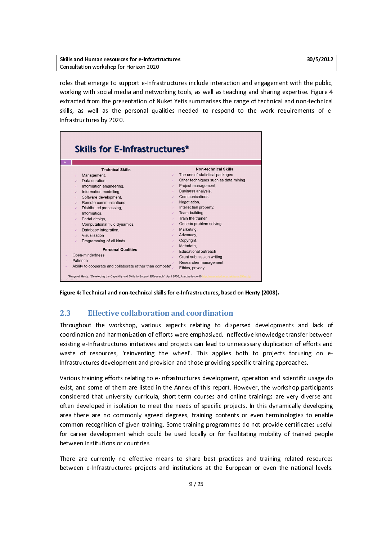| Skills and Human resources for e-Infrastructures | 30/5/2012 |
|--------------------------------------------------|-----------|
| Consultation workshop for Horizon 2020           |           |
|                                                  |           |

roles that emerge to support e-Infrastructures include interaction and engagement with the public, roles that emerge to support a minimization is include interaction and sharing expertise. Figure 4<br>extracted from the presentation of Nuket Yetis summarises the range of technical and non-technical<br>skills, as well as the p extracted from the presentation of Nuket Yetis summarises the range of technical and non-technical<br>skills, as well as the personal qualities needed to respond to the work requirements of e-<br>Infrastructures by 2020. skills, as well as the personal qualities needed to respond to the work requirements of e-<br>Infrastructures by 2020.



 $\overline{\phantom{a}}$ Figure 4: Technical and non-technical skills for e-Infrastructures, based on Henty (2008).

2.3 Effective collaboration and coordination<br>Throughout the workshop, various aspects relating to dispersed developments and lack of Throughout the workshop coordination and harmonization of efforts were emphasized. Ineffective knowledge transfer between<br>existing e-Infrastructures initiatives and projects can lead to unnecessary duplication of efforts a existing e-Infrastructures initiatives and projects can lead to unnecessary duplication of efforts and<br>waste of resources, 'reinventing the wheel'. This applies both to projects focusing on e-<br>Infrastructures development a waste of resources, 'reinventing the wheel'. This applies both to projects focusing on e-<br>Infrastructures development and provision and those providing specific training approaches.

various training errorts relating to e-infrastructures development, operation and scientific usage do Infrastructure development and provision and those provising specific channy approaches.<br>Various training efforts relating to e-Infrastructures development, operation and scientific t<br>exist, and some of them are listed in Exist, and some of them are listed in the Annex of this report. However, the workshop participants<br>Considered that university curricula, short-term courses and online trainings are very diverse and<br>Often developed in isola exister of that university curricula, short-term courses and online trainings are very diverse and<br>often developed in isolation to meet the needs of specific projects. In this dynamically developing<br>area there are no commo often developed in isolation to meet the needs of specific projects. In this dynamically developing<br>area there are no commonly agreed degrees, training contents or even terminologies to enable<br>common recognition of given t area there are no commonly agreed degrees, training contents or even terminologies to enable common recognition of given training. Some training programmes do not provide certificates useful<br>for career development which could be used locally or for facilitating mobility of trained people<br>between institutions or co for career development which could be used locally or for facilitating mobility of trained people<br>between institutions or countries. for career development which could be used locally or for facilitating mobility or facilitating people<br>between institutions or countries.<br>There are currently no effective means to share best practices and training related

There are currently no effective<br>between e-Infrastructures projec between e-Infrastructures projects and institutions at the European or even the national levels.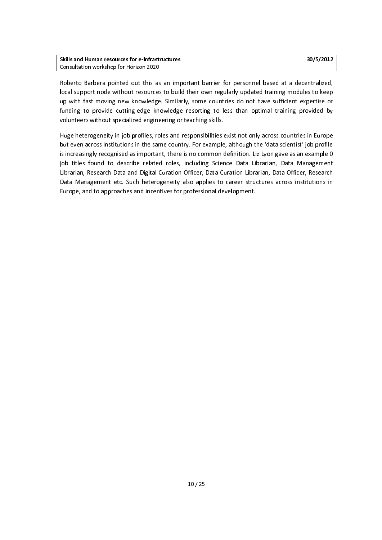Roberto Barbera pointed out this as an important barrier for personnel based at a decentralized, Roberto Barbera permutation and an important barber for personnel barbera at a decentralized,<br>Iocal support node without resources to build their own regularly updated training modules to keep<br>up with fast moving new knowl up with fast moving new knowledge. Similarly, some countries do not have sufficient expertise or<br>funding to provide cutting-edge knowledge resorting to less than optimal training provided by<br>volunteers without specialized funding to provide cutting-edge knowledge resorting to less than optimal training provided by volunteers without specialized engineering or teaching skills. funding to provide cutting to provide cutting to provide to provide resorting-<br>Funding solutions without specialized engineering or teaching skills.<br>Huge heterogeneity in job profiles, roles and responsibilities exist not

volume<br>Huge heterogeneity in job profiles, roles and responsibilities<br>but even across institutions in the same country. For example but even across institutions in the same country. For example, although the 'data scientist' job profile<br>is increasingly recognised as important, there is no common definition. Liz Lyon gave as an example 0 but increasingly recognised as important, there is no common definition. Liz Lyon gave as an example 0<br>Job titles found to describe related roles, including Science Data Librarian, Data Management<br>Librarian, Research Data is increase in the state of the state of the titles found to describe related roles, including Science Data Librarian, Data Management<br>Librarian, Research Data and Digital Curation Officer, Data Curation Librarian, Data Of journal in the search Data and Digital Curation Officer, Data Curation Librarian, Data Officer, Research<br>Data Management etc. Such heterogeneity also applies to career structures across institutions in<br>Europe, and to appro Librarian, Research Data and Digital Curation Currely, Data Curation Digital Curely, Research<br>Data Management etc. Such heterogeneity also applies to career structures across institutions in<br>Europe, and to approaches and i Europe, and to approaches and incentives for professional development. Europe, and to approaches and incentives for professional development.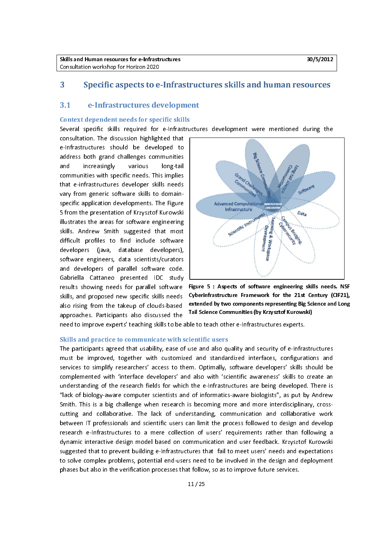#### 3.1 e-Infrastructures development

Context dependent needs for specific skills<br>Several specific skills required for e-Infrastructures development were mentioned during the

consultation. The discussion highlighted that<br>e-Infrastructures should be developed to e-Infrastructures should be developed to<br>address both grand challenges communities<br>and increasingly various long-tail address both grand challenges communities<br>and increasingly various long-tail<br>communities with specific needs. This implies and increasingly various long-tail<br>communities with specific needs. This implies<br>that e-infrastructures developer skills needs communities with specific needs. This implies<br>that e-infrastructures developer skills needs<br>vary from generic software skills to domainthat e-infrastructures developer skills needs<br>vary from generic software skills to domainspecific application developments. The Figure<br>5 from the presentation of Krzysztof Kurowski illustrates the areas for software engineering s<br>S from the presentation of Krzysztof Kurowski<br>Illustrates the areas for software engineering<br>Skills. Andrew Smith suggested that most From the presentation of the presentation of Hustrian Shills.<br>Skills. Andrew Smith suggested that most<br>difficult profiles to find include software interacte in a car contract engineering<br>skills. Andrew Smith suggested that most<br>difficult profiles to find include software<br>developers (java, database developers), difficult profiles to find include software<br>developers (java, database developers), software engineers, data scientists/curators<br>and developers of parallel software code. developers, data scientists/curators<br>and developers of parallel software code.<br>Gabriella Cattaneo presented IDC study and developers of parallel software code.<br>Gabriella Cattaneo presented IDC study<br>results showing needs for parallel software Gabriella Cattaneo presented IDC study<br>
results showing needs for parallel software<br>
skills, and proposed new specific skills needs results showing needs for parallel software<br>skills, and proposed new specific skills needs results in the major terms for parallel socialistics shills needs<br>also rising from the takeup of clouds-based<br>approaches. Participants also discussed the also rising from the takeup of clouds-based<br>approaches. Participants also discussed the<br>need to improve experts' teaching skills to be



Figure 5 : Aspects of software engineering skills needs. NSF Cyberinfrastructure Framework for the 21st Century (CIF21), extended by two components representing Big Science and Long Tail Science Communities (by Krzysztof Kurowski)

approaches. Participants also discussed the law science communities (by Krzysztor Kurows)<br>need to improve experts' teaching skills to be able to teach other e-Infrastructures experts. approaches. Participants and interaction in the metallicity and the need to improve experts' teaching skills to be able to teach oth<br>Skills and practice to communicate with scientific users

The participants agreed that usability, ease of use and also quality and security of e-Infrastructures The improved, together with customized and standardized interfaces, configurations and<br>services to simplify researchers' access to them. Optimally, software developers' skills should be<br>complemented with 'interface develop must be improved, together with customized and stationary interfaces, complemented with 'interface developers' and also with 'scientific awareness' skills to create an understanding of the research fields for which the e-I complemented with 'interface developers' and also with 'scientific awareness' skills to create an<br>understanding of the research fields for which the e-Infrastructures are being developed. There is inderstanding of the research fields for which the e-Infrastructures are being developed. There is<br>"lack of biology-aware computer scientists and of informatics-aware biologists", as put by Andrew<br>Smith. This is a big chal and the researce computer scientists and of informatics-aware biologists", as put by Andrew<br>Smith. This is a big challenge when research is becoming more and more interdisciplinary, cross-<br>Smith. This is a big challenge wh Smith. This is a big challenge when research is becoming more and more interdisciplinary, cross-<br>cutting and collaborative. The lack of understanding, communication and collaborative work<br>between IT professionals and scien research e-Infrastructures to a mere collection of users' requirements rather than following a cutting and collaborative. The later of understanding, communication and conductive workers between IT professionals and scientific users can limit the process followed to design and develop research e-Infrastructures to a between IT professionals and scientific users can limit the process following to design and viseos research e-Infrastructures to a mere collection of users' requirements rather than following a dynamic interactive design m research e-Infrastructures to a mere construction of users to a mere component collection of the distructures<br>Suggested that to prevent building e-Infrastructures that fail to meet users' needs and expectations<br>to solve co suggested that to prevent building e-Infrastructures that fail to meet users' needs and expectations to solve complex problems, potential end-users need to be involved in the design and deployment phases but also in the verification processes that follow, so as to improve future services. phases but also interesting processes that follow, so as to improve function  $11/25$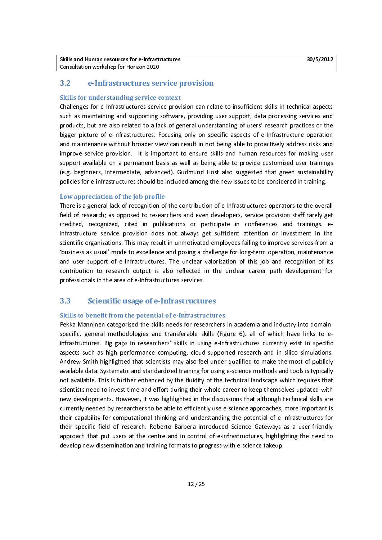#### $3.2$ 3.2 e-Infrastructures service provision

Skills for understanding service context<br>Challenges for e-Infrastructures service provision can relate to insufficient skills in technical aspects such as maintaining and supporting software, providing user support, data processing services and products, but are also related to a lack of general understanding of users' research practices or the bigger picture of e-Infrastructures. Focusing only on specific aspects of e-Infrastructure operation<br>and maintenance without broader view can result in not being able to proactively address risks and<br>improve service provis and maintenance without broader view can result in not being able to proactively address risks and support available on a permanent basis as well as being able to provide customized user trainings improved available on a permanent basis as well as being able to provide customized user trainings<br>(e.g. beginners, intermediate, advanced). Gudmund Host also suggested that green sustainability<br>policies for e-infrastructu e.g. beginners, intermediate, advanced). Gudmund Host also suggested that green sustainability<br>policies for e-infrastructures should be included among the new issues to be considered in training. policies for e-infrastructures should be included among the new issues to be considered in training.

#### Low appreciation of the job profile

There is a general lack of recognition of the contribution of e-infrastructures operators to the overall field of research; as opposed to researchers and even developers, service provision staff rarely get credited, recognized, cited in publications or participate in conferences and trainings. e-Infrastructure service provision does not always get sufficient attention or investment in the credited, recognizations or participate in publications or publications or participate in conferences and training the scientific order training or in the services and training or in the same of this support of e-Infrastru scientific organizations. This may result in unmotivated employees failing to improve services from a<br>'business as usual' mode to excellence and posing a challenge for long-term operation, maintenance<br>and user support of e and user support of e-Infrastructures. The unclear valorisation of this job and recognition of its<br>contribution to research output is also reflected in the unclear career path development for<br>professionals in the area of e contribution to research output is also reflected in the unclear career path development for<br>professionals in the area of e-Infrastructures services. professionals in the area of e-Infrastructures services.<br> **3.3** Scientific usage of e-Infrastructure

# professionals in the area of e-Infrastructures.<br>3.3 Scientific usage of e-Infrastructures

Skills to benefit from the potential of e-Infrastructures<br>Pekka Manninen categorised the skills needs for researchers in academia and industry into domainspecific, general methodologies and transferable skills (Figure 6), all of which have links to easpects such as high performance computing, cloud-supported research and in silico simulations.<br>Andrew Smith highlighted that scientists may also feel under-qualified to make the most of publicly<br>available data. Systematic aspects such as high performance computing, cloud-supported research and in silico simulations. Andrew Smith highlighted that scientists may also feel under-qualified to make the most of publicly available data. Systematic and standardized training for using e-science methods and tools is typically<br>Andrew Scientists may also further enhanced by the fluidity of the technical landscape which requires that<br>Scientists available data. Systematic and standardized training for using e-science methods and tools is typically and available. This is further enhanced by the fluidity of the technical landscape which requires that<br>Scientists need to invest time and effort during their whole career to keep themselves updated with<br>The developments. H scientists need to invest time and effort during their whole career to keep themselves updated with<br>new developments. However, it was highlighted in the discussions that although technical skills are<br>currently needed by re schiption of the discussions that although technical skills are<br>invertily needed by researchers to be able to efficiently use e-science approaches, more important is<br>their capability for computational thinking and understa new developments. However, it was highlighted in the discussions that although technical shift currently needed by researchers to be able to efficiently use e-science approaches, more important is<br>their capability for comp currently in their capability for computational thinking and understanding the potential of e-Infrastructures for<br>their specific field of research. Roberto Barbera introduced Science Gateways as a user-friendly<br>their speci their specific field of research. Roberto Barbera introduced Science Gateways as a user-friendly<br>approach that put users at the centre and in control of e-infrastructures, highlighting the need to<br>develop new dissemination their specific field of research. Roberto Barbera introduced Science Science, highlighting the need to develop new dissemination and training formats to progress with e-science takeup. develop new dissemination and training formats to progress with e-science takeup.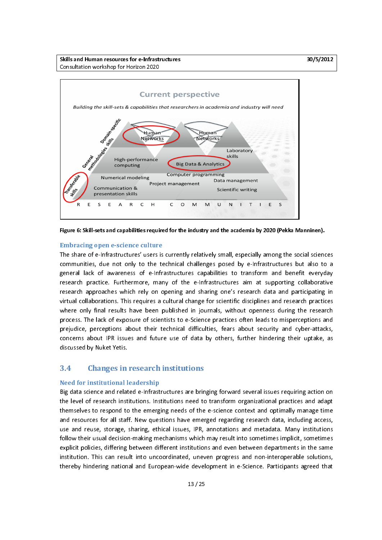Skills and Human resources for e-Infrastructures 30/5/2012 and Human resources 30/5/2012 Consultation workshop for Horizon 2020



Figure 6: Skill-sets and capabilities required for the industry and the academia by 2020 (Pekka Manninen).

**Embracing open e-science culture**<br>The share of e-Infrastructures' users is currently relatively small, especially among the social sciences The share of e-Infrastructure is currently relatively small, provide the social communities, due not only to the technical challenges posed by e-Infrastructures but also to a general lack of awareness of e-Infrastructures eneral lack of awareness of e-Infrastructures capabilities to transform and benefit everyday<br>research practice. Furthermore, many of the e-Infrastructures aim at supporting collaborative<br>research approaches which rely on o research practice. Furthermore, many of the e-Infrastructures aim at supporting collaborative<br>research approaches which rely on opening and sharing one's research data and participating in research approaches which rely on opening and sharing one's research data and participating in<br>
ritual collaborations. This requires a cultural change for scientific disciplines and research practices<br>
where only final res research approaches which approaches which relies with relations and research practices<br>where only final results have been published in journals, without openness during the research<br>process. The lack of exposure of scient where only final results have been published in journals, without openness during the research process. The lack of exposure of scientists to e-Science practices often leads to misperceptions and prejudice, perceptions about their technical difficulties, fears about security and cyber-attacks, concerns about IPR issues and future use of data by others, further hindering their uptake, as discussed by Nuket Yetis. concerns about IPR issues and future use of data by others, further hindering their uptake, as concerns about IPR is the future use of data by others, future intering the uptake, as<br>discussed by Nuket Yetis.<br>2.4 Changes in research institutions.

# discussed by Nuket Yetis.<br>
3.4 Changes in research institutions

Need for institutional leadership<br>Big data science and related e-Infrastructures are bringing forward several issues requiring action on Big data science and a data the level of research institutions. Institutions need to transform organizational practices and adapt<br>The science and respond to the emerging needs of the e-science context and optimally manage themselves to respond to the emerging needs of the e-science context and optimally manage time<br>and resources for all staff. New questions have emerged regarding research data, including access,<br>use and reuse, storage, shar and resources for all staff. New questions have emerged regarding research data, including access,<br>use and reuse, storage, sharing, ethical issues, IPR, annotations and metadata. Many institutions and reuse, storage, sharing, ethical issues, IPR, annotations and metadata. Many institutions<br>follow their usual decision-making mechanisms which may result into sometimes implicit, sometimes<br>explicit policies, differing b Follow their usual decision-making mechanisms which may result into sometimes implicit, sometimes<br>explicit policies, differing between different institutions and even between departments in the same<br>institution. This can r explicit policies, differing between different institutions and even between departments in the same<br>institution. This can result into uncoordinated, uneven progress and non-interoperable solutions, institution. This can result into uncoordinated, uneven progress and non-interoperable solutions,<br>thereby hindering national and European-wide development in e-Science. Participants agreed that thereby hindering national and European-wide development in e-Science. Participants agreed that<br> $13/25$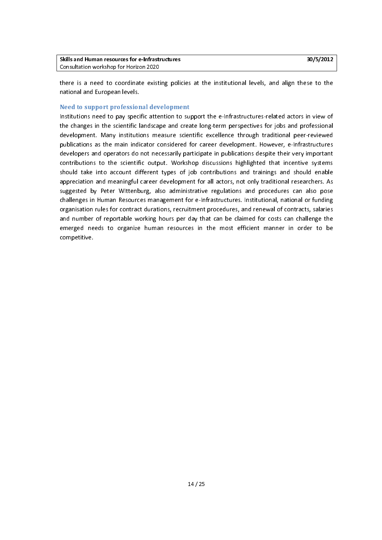| <b>Skills and Human resources for e-Infrastructures</b> |  |  |
|---------------------------------------------------------|--|--|
| Consultation workshop for Horizon 2020                  |  |  |
|                                                         |  |  |

there is a need to coordinate existing policies at the institutional levels, and align these to the there is a need to continue the institutional and European levels.<br>
Need to support professional development

## Need to support professional development

national and European Institutions need to pay spect<br>Institutions need to pay spect Institution and the scientific landscape and create long-term perspectives for jobs and professional<br>Institution to any institutions measure scientific excellence through traditional peer-reviewed<br>Interations as the main i the changes in the scientific landscape and create long-term perspectives for jobs and processional<br>development. Many institutions measure scientific excellence through traditional peer-reviewed<br>publications as the main in developers and operators do not necessarily participate in publications despite their very important<br>developers and operators do not necessarily participate in publications despite their very important<br>contributions to the developers and operators do not necessarily participate in publications despite their very important<br>contributions to the scientific output. Workshop discussions highlighted that incentive systems<br>should take into account contributions to the scientific output. Workshop discussions highlighted that incentive systems contributions and take into account different types of job contributions and trainings and should enable<br>Appreciation and meaningful career development for all actors, not only traditional researchers. As<br>Suggested by Pete appreciation and meaningful career development for all actors, not only traditional researchers. As<br>suggested by Peter Wittenburg, also administrative regulations and procedures can also pose<br>challenges in Human Resources suggested by Peter Wittenburg, also administrative regulations and procedures can also pose<br>challenges in Human Resources management for e-Infrastructures. Institutional, national or funding suggested by Challenges in Human Resources management for e-Infrastructures. Institutional, national or funding<br>Interaction rules for contract durations, recruitment procedures, and renewal of contracts, salaries<br>Interacti organisation rules for contract durations, recruitment procedures, and renewal of contracts, salaries<br>and number of reportable working hours per day that can be claimed for costs can challenge the<br>emerged needs to organize and number of reportable working hours per day that can be claimed for costs can challenge the emerged needs to organize human resources in the most efficient manner in order to be competitive. emerged needs to organize human resources in the most efficient manner in order to be emerged needs to organize human resources in the most efficient manner in order to be<br>competitive.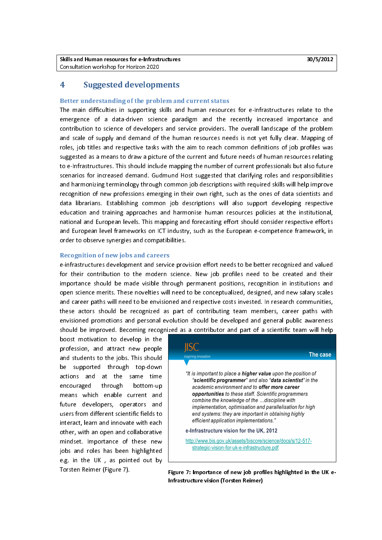## 4 Suggested developments

Better understanding of the problem and current status<br>The main difficulties in supporting skills and human resources for e-Infrastructures relate to the emergence of a data-driven science paradigm and the recently increased importance and contribution to science of developers and service providers. The overall landscape of the problem<br>and scale of supply and demand of the human resources needs is not yet fully clear. Mapping of<br>roles, job titles and respect and scale of supply and demand of the human resources needs is not yet fully clear. Mapping of roles, job titles and respective tasks with the aim to reach common definitions of job profiles was suggested as a means to dra and scales in the supplying to learn the supplying to the supplying the supplying of the supplying variant supplying supplying supplying supplying supplying supplying supplying supplying supplying supplying supplying the h roles, job times and respective tasks with the aim to reach common definitions of job promon definitions suggested as a means to draw a picture of the current and future needs of human resources relating<br>to e-Infrastructur suggested as a mean as a mean as a mean and to e-infrastructures. This should include mapping the number of current professionals but also future<br>Suggested that clarifying relations of the current sections of the clarifyin scenarios for increased demand. Gudmund Host suggested that clarifying roles and responsibilities<br>and harmonizing terminology through common job descriptions with required skills will help improve and harmonizing terminology through common job descriptions with required skills will help improve<br>recognition of new professions emerging in their own right, such as the ones of data scientists and<br>data librarians. Establ recognition of new professions emerging in their own right, such as the ones of data scientists and<br>data librarians. Establishing common job descriptions will also support developing respective<br>education and training appro data librarians. Establishing common job descriptions will also support developing respective<br>education and training approaches and harmonise human resources policies at the institutional, national and European levels. This mapping and forecasting effort should consider respective efforts educational and European levels. This mapping and forecasting effort should consider respective efforts<br>and European level frameworks on ICT industry, such as the European e-competence framework, in<br>order to observe synerg national and European level frameworks on ICT industry, such as the European e-competence framework, in order to observe synergies and compatibilities. order to observe synergies and compatibilities.

#### Recognition of new jobs and careers

e-infrastructures development and service provision effort needs to be better recognized and valued for their contribution to the modern science. New job profiles need to be created and their importance should be made visible through permanent positions, recognition in institutions and open science merits. These novelties will need to be conceptualized, designed, and new salary scales and career paths will need open science merits. These novelties will need to be conceptualized, designed, and new salary scales and career paths will need to be envisioned and respective costs invested. In research communities,<br>
these actors should be recognized as part of contributing team members, career paths with<br>
envisioned promotions and pers these actors should be recognized as part of contributing team members, career paths with<br>envisioned promotions and personal evolution should be developed and general public awareness<br>should be improved. Becoming recognize these actors in the recognized as a contributor should be developed and general public awareness<br>should be improved. Becoming recognized as a contributor and part of a scientific team will help<br>boost motivation to develop

boost motivation to develop in the<br>profession, and attract new people<br>and students to the jobs. This should and students to the jobs. This should<br>be supported through top-down<br>actions and at the same time be supported through top-down<br>actions and at the same time<br>encouraged through bottom-up actions and at the same time<br>encouraged through bottom-up<br>means which enable current and encouraged through bottom-up<br>means which enable current and<br>future developers, operators and means which enable current and<br>future developers, operators and<br>usersfrom-different-scientific-fields-to future developers, operators and<br>users from different scientific fields to<br>interact, learn and innovate with each users from different scientific fields to<br>interact, learn and innovate with each<br>other, with an open and collaborative Interact, learn and innovate with each<br>other, with an open and collaborative<br>mindset. Importance of these new other, with an open and collaborative<br>mindset. Importance of these new<br>jobs and roles has been highlighted mindset. Importance of these new<br>jobs and roles has been highlighted<br>e.g. in the UK, as pointed out by in the matrice of these new jobs and roles has been highlighted<br>e.g. in the UK, as pointed out by<br>Torsten Reimer (Figure 7). e.<br>g. in the UK , as pointed out by<br>Torsten Reimer (Figure 7). Torsten Reimer (Figure 7).



Tigure 7: Importance of new job profiles highlighted in the OK e-<br>Infrastructure vision (Torsten Reimer) Infrastructure vision (Torsten Reimer)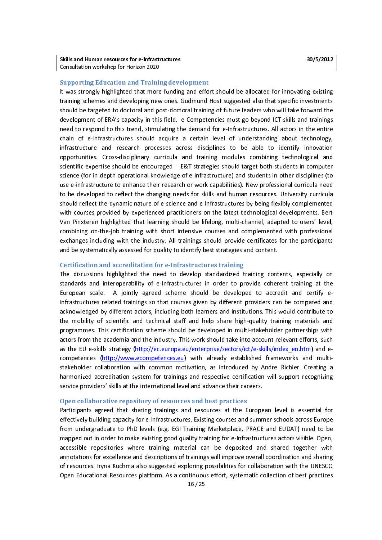#### j Supporting Education and Training development

It was strongly highlighted that more funding and effort should be allocated for innovating existing<br>training schemes and developing new ones. Gudmund Host suggested also that specific investments<br>should be targeted to doc development of ERA's capacity in this field. e-Competencies must go beyond ICT skills and trainings showlopment of ERA's capacity in this field. e-Competencies must go beyond ICT skills and trainings<br>should be take for the training of the fundance of the future of the future of the future of the entire<br>chain of e-Infrast development of ERA's capacity in this field. The peripertative must go beyond to this training-<br>need to respond to this trend, stimulating the demand for e-Infrastructures. All actors in the entire<br>chain of e-Infrastructur chain of e-Infrastructures should acquire a certain level of understanding about technology,<br>infrastructure and research processes across disciplines to be able to identify innovation chain of e-Infrastructure and research processes across disciplines to be able to identify innovation<br>Infrastructure and research processes across disciplines to be able to identify innovation<br>International computer and te opportunities. Cross-disciplinary curricula and training modules combining technological and<br>scientific expertise should be encouraged -- E&T strategies should target both students in computer<br>science (for in-depth operati oportuities. Cross-disclusive in the encouraged -- E&T strategies should target both students in computer<br>Science (for in-depth operational knowledge of e-infrastructure) and students in other disciplines (to<br>use e-infrast science (for in-depth operational knowledge of e-infrastructure) and students in other disciplines (to<br>use e-infrastructure to enhance their research or work capabilities). New professional curricula need<br>to be developed t science (for in-depth operational misinging of e-infinitence of your conduction of mising particle (for the infrastructure to enhance their research or work capabilities). New professional curricula need<br>to be developed to use e-infrastructure to enhance their research or their expansively their precedition and their research of the<br>should reflect the dynamic nature of e-science and e-infrastructures by being flexibly complemented<br>with cours to be developed to be developed to the dynamic nature of e-science and e-Infrastructures by being flexibly complemented<br>to be developments. Bert with courses provided by experienced practitioners on the latest technologica with courses provided by experienced practitioners on the latest technological developments. Bert<br>Van Pinxteren highlighted that learning should be lifelong, multi-channel, adapted to users' level,<br>combining on-the-job tra Wan Pinxteren highlighted that learning should be lifelong, multi-channel, adapted to users' level,<br>combining on-the-job training with short intensive courses and complemented with professional<br>exchanges including with the Combining on-the-job training with short intensive courses and complemented with professional exchanges including with the industry. All trainings should provide certificates for the participants<br>and be systematically asse exchanges including with the industry. All trainings should provide certificates for the participants<br>and be systematically assessed for quality to identify best strategies and content. and be systematically assessed for quality to identify best strategies and content.

#### Certification and accreditation for e-Infrastructures training

The discussions highlighted the need to develop standardized training contents, especially on standards and interoperability of e-Infrastructures in order to provide coherent training at the<br>European scale. A jointly agreed scheme should be developed to accredit and certify e-<br>Infrastructures related trainings so t standards and interoperating, or e-Infrastructure in order to provide controlling at the<br>European scale. A jointly agreed scheme should be developed to accredit and certify e-<br>Infrastructures related trainings so that cour the mobility of scientific and technical staff and help share high-quality training materials and Infracknowledged by different actors, including both learners and institutions. This would contribute to<br>Infrastructure mobility of scientific and technical staff and help share high-quality training materials and<br>Integram acknowledged by different actors, including both learners and institutions in the mobility of scientific and technical staff and help share high-quality training materials and programmes. This certification scheme should b programmes. This certification scheme should be developed in multi-stakeholder partnerships with<br>actors from the academia and the industry. This work should take into account relevant efforts, such<br>as the EU e-skills strat actors from the academia and the industry. This work should take into account relevant efforts, such<br>as the EU e-skills strategy (http://ec.europa.eu/enterprise/sectors/ict/e-skills/index en.htm) and e-<br>competences (http:/ as the EU e-skills strategy (http://ec.europa.eu/enterprise/sectors/ict/e-skills/index en.htm) and e-<br>competences (http://www.ecompetences.eu) with already established frameworks and multi-<br>stakeholder collaboration with c as the EU e-skills strategy (http://ec.europa.europa.europa.europa.europa.europa.europa.europa.europa.europa.e<br>service providers' skills at the international level and advance their careers. envice providers' skills at the international level and advance their careers.<br>Open collaborative repository of resources and best practices

#### Open collaborative repository of resources and best practices

Participants agreed that sharing trainings and resources at the European level is essential for effectively building capacity for e-Infrastructures. Existing courses and summer schools across Europe<br>from undergraduate to PhD levels (e.g. EGI Training Marketplace, PRACE and EUDAT) need to be mapped out in order to make existing good quality training for e-Infrastructures actors visible. Open, from undergraduate to PhD levels (e.g. EGI Training Marketplace, Prace and EUDAT) need to an<br>mapped out in order to make existing good quality training for e-Infrastructures actors visible. Open,<br>accessible repositories wh mapped out in order to make existing good quality training for a minimum actor control conduction processible<br>annotations for excellence and descriptions of trainings will improve overall coordination and sharing<br>of resour annotations for excellence and descriptions of trainings will improve overall coordination and sharing<br>of resources. Iryna Kuchma also suggested exploring possibilities for collaboration with the UNESCO<br>Open Educational Re of resources. Iryna Kuchma also suggested exploring possibilities for collaboration with the UNESCO<br>Open Educational Resources platform. As a continuous effort, systematic collection of best practices<br>16/25 Open Educational Resources platform. As a continuous effort, systematic collection of best practices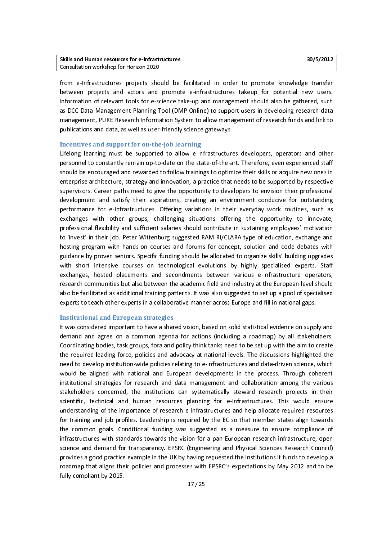from e-Infrastructures projects should be facilitated in order to promote knowledge transfer from e-Infrastructures projects shown as instituted in order to promote incomenge transference<br>Information of relevant tools for e-science take-up and management should also be gathered, such<br>as DCC Data Management Plannin Information of relevant tools for e-science take-up and management should also be gathered, such<br>In DCC Data Management Planning Tool (DMP Online) to support users in developing research data<br>In anagement, PURE Research In as DCC Data Management Planning Tool (DMP Online) to support users in developing research data management, PURE Research Information System to allow management of research funds and link to publications and data, as well as user-friendly science gateways.

#### Incentives and support for on-the-job learning

Lifelong learning must be supported to allow e-Infrastructures developers, operators and other personnel to constantly remain up-to-date on the state-of-the-art. Therefore, even experienced staff<br>should be encouraged and rewarded to follow trainings to optimize their skills or acquire new ones in<br>enterprise architec should be encouraged and rewarded to follow trainings to optimize their skills or acquire new ones in shorterprise architecture, strategy and innovation, a practice that needs to be supported by respective<br>supervisors. Career paths need to give the opportunity to developers to envision their professional<br>development and sa enterprisors. Career paths need to give the opportunity to developers to envision their professional<br>development and satisfy their aspirations, creating an environment conducive for outstanding<br>performance for e-Infrastruc supervisors. Care in the original of the original of the original development conducive for outstanding<br>interformance for e-infrastructures. Offering variations in their everyday work routines, such as<br>exchanges with other performance for e-Infrastructures. Offering variations in their everyday work routines, such as<br>exchanges with other groups, challenging situations offering the opportunity to innovate,<br>professional flexibility and suffici performances with other groups, challenging situations offering the opportunity to innovate,<br>professional flexibility and sufficient salaries should contribute in sustaining employees' motivation<br>to 'invest' in their iob. examinges with state groups, challenging situations of the opportunity to innovate,<br>professional flexibility and sufficient salaries should contribute in sustaining employees' motivation<br>to 'invest' in their job. Peter Wit to 'invest' in their job. Peter Wittenburg suggested RAMIRI/CLARA type of education, exchange and<br>hosting program with hands-on courses and forums for concept, solution and code debates with guidance by proven seniors. Specific funding should be allocated to organize skills' building upgrades andance by proven seniors. Specific funding should be allocated to organize skills' building upgrades<br>1997 with short intensive courses on technological evolutions by highly specialised experts. Staff<br>1997 exchanges, hoste guith short intensive courses on technological evolutions by highly specialised experts. Staff<br>exchanges, hosted placements and secondments between various e-Infrastructure operators,<br>research communities but also between exchanges, hosted placements and secondments between various e-Infrastructure operators,<br>research communities but also between the academic field and industry at the European level should<br>also be facilitated as additional examinges, hosted placements and secondments activistic plancements of personal,<br>research communities but also between the academic field and industry at the European level should<br>also be facilitated as additional training also be facilitated as additional training patterns. It was also suggested to set up a pool of specialised<br>experts to teach other experts in a collaborative manner across Europe and fill in national gaps. also be facilitated as additional training patterns. It was also suggested to set up a pool of specialistic<br>experts to teach other experts in a collaborative manner across Europe and fill in national gaps.<br>Institutional an

#### Institutional and European strategies

It was considered important to have a shared vision, based on solid statistical evidence on supply and It was considered important to have a shared vision, success the considered in supply, and<br>It demand and agree on a common agenda for actions (including a roadmap) by all stakeholders.<br>It coordinating bodies, task groups, depending bodies, task groups, for a and policy think tanks need to be set up with the aim to create<br>the required leading force, policies and advocacy at national levels. The discussions highlighted the<br>need to develop ins Coordination of the groups, for a line policy in the model of the required leading force, policies and advocacy at national levels. The discussions highlighted the need to develop institution-wide policies relating to e-In the read to develop institution-wide policies relating to e-Infrastructures and data-driven science, which<br>the required visit in advocate with national and European developments in the process. Through coherent<br>institution metal developments in the process. Through coherent<br>Institutional strategies for research and data management and collaboration among the various<br>Institutional strategies for research and data management and collaboration institutional strategies for research and data management and collaboration among the various<br>stakeholders concerned, the institutions can systematically steward research projects in their<br>scientific, technical and human r institutions concerned, the institutions can systematically steward research projects in their<br>institutional scientific, technical and human resources planning for e-Infrastructures. This would ensure<br>inderstanding of the scientific, technical and human resources planning for e-Infrastructures. This would ensure<br>understanding of the importance of research e-Infrastructures and help allocate required resources<br>for training and job profiles. Inderstanding of the importance of research e-Infrastructures and help allocate required resources<br>For training and job profiles. Leadership is required by the EC so that member states align towards<br>The common goals. Condi Interactionary of the importance of research e-infrastructures and hoppens are presented to training and job profiles. Leadership is required by the EC so that member states align towards<br>the common goals. Conditional fund for training and job promote conducting to required by the EC solid member states angle commons goals. Conditional funding was suggested as a measure to ensure compliance of infrastructures with standards towards the visio infrastructures with standards towards the vision for a pan-European research infrastructure, open<br>science and demand for transparency. EPSRC (Engineering and Physical Sciences Research Council)<br>provides a good practice ex science and demand for transparency. EPSRC (Engineering and Physical Sciences Research Council) provides a good practice example in the UK by having requested the institutions it funds to develop a<br>roadmap that aligns their policies and processes with EPSRC's expectations by May 2012 and to be<br>fully compliant by 2015 provides a good practice example in the UK by having requested the institution funds to develop a<br>roadmap that aligns their policies and processes with EPSRC's expectations by May 2012 and to be<br> $17/25$ Fully compliant by 2015.<br>
aligns the expectation of the processes with EPSRC's expectations by  $\frac{17}{25}$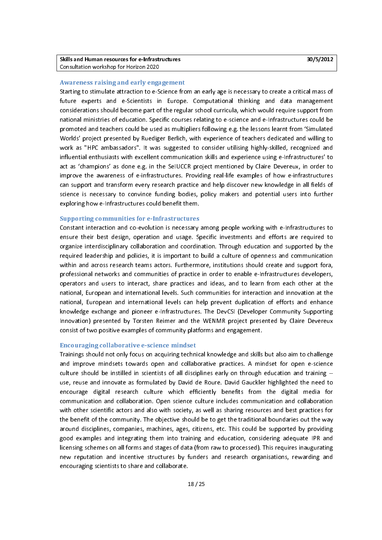## Awareness raising and early engagement

Starting to stimulate attraction to e-Science from an early age is necessary to create a critical mass of future experts and e-Scientists in Europe. Computational thinking and data management considerations should become p national ministries of education. Specific courses relating to e-science and e-Infrastructures could be national ministries of education. Specific courses relating to e-science and e-Infrastructures could be<br>promoted and teachers could be used as multipliers following e.g. the lessons learnt from 'Simulated<br>Worlds' project p national ministries of entertation. Specific courses relating to a section of entertation is connected and the<br>Morlds' project presented by Ruediger Berlich, with experience of teachers dedicated and willing to<br>Work as "HP Worlds' project presented by Ruediger Berlich, with experience of teachers dedicated and willing to<br>work as "HPC ambassadors". It was suggested to consider utilising highly-skilled, recognized and Work as "HPC ambassadors". It was suggested to consider utilising highly-skilled, recognized and<br>Influential enthusiasts with excellent communication skills and experience using e-Infrastructures' to<br>act as 'champions' as influential enthusiasts with excellent communication skills and experience using e-Infrastructures' to<br>act as 'champions' as done e.g. in the SeIUCCR project mentioned by Claire Devereux, in order to<br>improve the awareness act as 'champions' as done e.g. in the SeIUCCR project mentioned by Claire Devereux, in order to<br>improve the awareness of e-infrastructures. Providing real-life examples of how e-infrastructures<br>can support and transform e improve the awareness of e-infrastructures. Providing real-life examples of how e-infrastructures improve the antitivity of e-infrastructures of examples of them paintiples of can support and transform every research practice and help discover new knowledge in all fields of science is necessary to convince funding bodi support and transform every research practice and help discover new intervery in all fields of<br>science is necessary to convince funding bodies, policy makers and potential users into further<br>exploring how e-Infrastructures exploring how e-Infrastructures could benefit them.<br>
Supporting communities for e-Infrastructures exploring how e-Infrastructures could benefit them.<br> **Supporting communities for e-Infrastructures**<br>
Constant interaction and co-evolution is necessary among people working with e-Infrastructures to

ensure their best design, operation and usage. Specific investments and efforts are required to<br>organize interdisciplinary collaboration and coordination. Through education and supported by the ensure then there are, on permanent and usage. Specific inversions and survey are required by the required leadership and policies, it is important to build a culture of openness and communication within and across researc organize interaction primary collaboration and continuation interaction and communication<br>required leadership and policies, it is important to build a culture of openness and communication<br>within and across research teams within and across research teams actors. Furthermore, institutions should create and support fora,<br>professional networks and communities of practice in order to enable e-Infrastructures developers, professional networks and communities of practice in order to enable e-Infrastructures developers,<br>operators and users to interact, share practices and ideas, and to learn from each other at the<br>national, European and inte processional networks and communities of practice in order to enable e-infrastructures developers,<br>operators and users to international levels. Such communities for interaction and innovation at the<br>national, European and operators and interactional levels. Such communities for interaction and innovation at the<br>national, European and international levels can help prevent duplication of efforts and enhance<br>knowledge exchange and pioneer e-In national, European and international levels can help prevent duplication of efforts and enhance<br>Knowledge exchange and pioneer e-Infrastructures. The DevCSI (Developer Community Supporting<br>Innovation) presented by Torsten knowledge exchange and pioneer e-Infrastructures. The DevCSI (Developer Community Supporting<br>Innovation) presented by Torsten Reimer and the WENMR project presented by Claire Devereux<br>consist of two positive examples of co Innovation) presented by Torsten Reimer and the WENMR project presented by Claire Devereux consist of two positive examples of community platforms and engagement.

#### Encouraging collaborative e-science mindset

Trainings should not only focus on acquiring technical knowledge and skills but also aim to challenge and improve mindsets towards open and collaborative practices. A mindset for open e-science culture should be instilled in scientists of all disciplines early on through education and training -culture should be instilled in scientists of all disciplines early on through education and training --<br>use, reuse and innovate as formulated by David de Roure. David Gauckler highlighted the need to<br>encourage digital rese use, reuse and innovate as formulated by David de Roure. David Gauckler highlighted the need to<br>encourage digital research culture which efficiently benefits from the digital media for<br>communication and collaboration. Open encourage digital research culture which efficiently benefits from the digital media for<br>communication and collaboration. Open science culture includes communication and collaboration communication and collaboration. Open science culture includes communication and collaboration<br>with other scientific actors and also with society, as well as sharing resources and best practices for<br>the benefit of the comm with other scientific actors and also with society, as well as sharing resources and best practices for<br>the benefit of the community. The objective should be to get the traditional boundaries out the way<br>around disciplines the benefit of the community. The objective should be to get the traditional boundaries out the way<br>around disciplines, companies, machines, ages, citizens, etc. This could be supported by providing the benefit of the community. The objective should be supported by providing<br>around disciplines, companies, machines, ages, citizens, etc. This could be supported by providing<br>good examples and integrating them into traini around disciplines, companies, machines, ages, charactly contributed be supported by providing<br>good examples and integrating them into training and education, considering adequate IPR and<br>licensing schemes on all forms and licensing schemes on all forms and stages of data (from raw to processed). This requires inaugurating new reputation and incentive structures by funders and research organisations, rewarding and encouraging scientists to share and collaborate.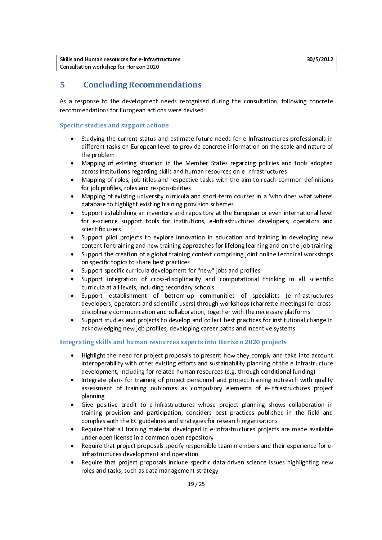## 5 Concluding Recommendations

As a response to the development needs recognised during the consultation, following concrete recommendations for European actions were devised:

#### Specific studies and support actions

- Studying the current status and estimate future needs for e-Infrastructures professionals in • different tasks on European level to provide concrete information on the scale and nature of the problem
- Mapping of existing situation in the Member States regarding policies and tools adopted •
- across institutions regarding skills and human resources on e-Infrastructures<br>Mapping of roles, job titles and respective tasks with the aim to reach con<br>for job profiles, roles and responsibilities across institutions regarding skills and human resources on e-Infrastructures<br>Mapping of roles, job titles and respective tasks with the aim to reach common definitions<br>for job profiles, roles and responsibilities Mapping of roles, job titles and respective tasks with the aim to reach con<br>for job profiles, roles and responsibilities<br>Mapping of existing university curricula and short-term courses in a 'who d •
- Mapping of existing university curricula and short-term courses in a 'who does what where' database to highlight existing training provision schemes<br>Support establishing an inventory and repository at the European or even database to highlight existing training provision schemes •
- database to highlight existing training provision schemes<br>Support establishing an inventory and repository at the European or even international level<br>for e-science support tools for institutions, e-Infrastructures develop Support establishing an inventory and repository at the l<br>for e-science support tools for institutions, e-Infrastr<br>scientific users • Support establishing an inventory and repository at the European or even international receiver<br>for e-science support tools for institutions, e-Infrastructures developers, operators and<br>Support pilot projects to explore in
- scientific users<br>Support pilot projects to explore innovation in education and training in developing new<br>content for training and new training approaches for lifelong learning and on-the-job training Support pilot p<br>content for trai<br>Support the cre •
- Frace of the training and new training approaches for lifelong learning and on-the-job training<br>Support the creation of a global training context comprising joint online technical workshops<br>on specific topics to share best Support the creation of a global training context comprising joint online technical workshops<br>on specific topics to share best practices<br>Support specific curricula development for "new" jobs and profiles •
- Support specific curricula development for "new" jobs and profiles •
- on specific topics to share best practices<br>Support specific curricula development for "new" jobs and profiles<br>Support integration of cross-disciplinarity and computational thinking in all scientific<br>curricula at all levels Support integration of cross-disciplinarity and computational<br>curricula at all levels, including secondary schools<br>Support establishment of bottom-up communities of spe •
- Firicula at all levels, including secondary schools<br>Support establishment of bottom-up communities of specialists (e-Infrastructures<br>developers, operators and scientific users) through workshops (charrette meetings) for cr Support establishment of bottom-up comm<br>developers, operators and scientific users) throug<br>disciplinary communication and collaboration, tog • developers, operators and scientific users) through workshops (charrette meetings) for cross-<br>disciplinary communication and collaboration, together with the necessary platforms<br>Support studies and projects to develop and
- ackhowledging new job profiles, developing career paths and incentive systems Support studies and projects to develop and collect best practices for institutional charged acknowledging new job profiles, developing career paths and incentive systems<br>ting chills and human resources conects into Harizo • Support studies and projects to developing career paths and incentive systems<br>acknowledging new job profiles, developing career paths and incentive systems<br>ting skills and human resources aspects into Horizon 2020 projects

#### Integrating skills and human resources aspects into Horizon 2020 projects

- Highlight the need for project proposals to present how they comply and take into account • Highlight the need for project projects to process to provide they comply and take intersections<br>interoperability with other existing efforts and sustainability planning of the e-Infrastructure<br>levelopment, including for r
- development, including for related human resources (e.g. through conditional funding)<br>Integrate plans for training of project personnel and project training outreach with quality<br>assessment of training outcomes as compulso Integrate plans for training of project personnel and project training outreach with consessment of training outcomes as compulsory elements of e-Infrastructures planning • assessment of training outcomes as compulsory elements of e-Infrastructures project<br>planning<br>Give positive credit to e-Infrastructures whose project planning shows collaboration in
- planning<br>planning<br>Give positive credit to e-Infrastructures whose project planning shows collaboration in<br>training provision and participation, considers best practices published in the field and r<br>Give pos<br>training<br>complies • training provision and participation, considers best practices published in the field and<br>complies with the EC guidelines and strategies for research organisations<br>Require that all training material developed in e-Infrastr
- complies with the EC guidelines and strategies for research organisations<br>Require that all training material developed in e-Infrastructures projects are made available<br>under open license in a common open repository Require that all training material developed in e-Infrastructures projects<br>under open license in a common open repository<br>Require that project proposals specify responsible team members and th •
- Require that all training material developed in e-Infrastructure projects are made available<br>under open license in a common open repository<br>Require that project proposals specify responsible team members and their experien mander open nother in a common open reporting<br>
Require that project proposals specify responsible<br>
Require that project proposals include specific c •
- roies and tasks, such as data management strategy Require that project proposals include spe<br>
roles and tasks, such as data management s • roles and tasks, such as data-management strategy<br> $\frac{19}{25}$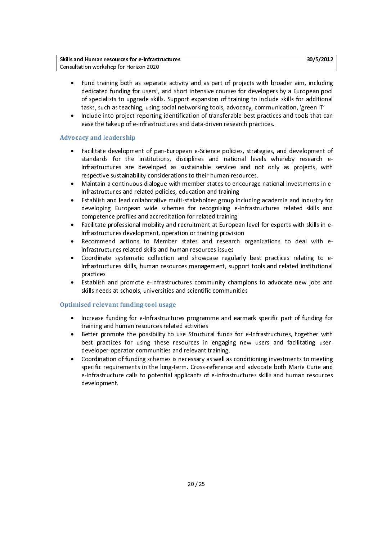Skills and Human resources for e-Infrastructures 30/5/2012 and Human resources 30/5/2012 Consultation workshop for Horizon 2020

- Fund training both as separate activity and as part of projects with broader aim, including dedicated funding for users', and short intensive courses for developers by a European pool of specialists to upgrade skills. Supp dedicated funding for the skills. Support expansion of training to include skills for additional<br>tasks, such as teaching, using social networking tools, advocacy, communication, 'green IT'<br>Include into project reporting id
- tasks, such as teaching, using social networking tools, advocacy, communication, 'green IT'<br>Include into project reporting identification of transferable best practices and tools that can<br>ease the takeup of e-infrastructur Include into project reporting identification of transferable best practices and tools that c<br>ease the takeup of e-infrastructures and data-driven research practices.<br>In and loadenship • ease the takeup of e-infrastructures and data-driven research practices.

#### Advocacy and leadership

- Facilitate development of pan-European e-Science policies, strategies, and development of • standards for the institutions, disciplines and national levels whereby research e-<br>Infrastructures are developed as sustainable services and not only as projects, with<br>respective sustainability considerations to their hum
- waintain a continuous dialogue with member states to encourage national investments in e-Infrastructure and bitterleped as sustainable controller and the computer projects, with<br>
respective sustainability considerations to their human resources.<br>
Infrastructures and related policies, education and training respective sustainability of the member states to encourage<br>Infrastructures and related policies, education and training<br>Establish and lead collaborative multi-stakeholder group including •
- developing European wide schemes for recognising e-Infrastructures related skills and<br>competence profiles and accreditation for related training<br>Facilitate professional mobility and recruitment at European level for expert Infrastructures and related policies, education and training<br>
Establish and lead collaborative multi-stakeholder group including academia and industry for<br>
developing European wide schemes for recognising e-Infrastructures •
- Facilitate professional mobility and recruitment at European level for experts with skills in e-Infrastructures development, operation or training provision •
- Infrastructures related skills and human resources issues Recommend actions to Member states and research organizations to deal with e-•
- Infrastructures skills, human resources management, support tools and related institutional practices Coordinate systematic collection and showcase regularly best practices relating to e-•
- Estabilsh and promote e-infrastructures community champions to advocate new jobs and Infrastructure skills, human resources management, support to be and related institutional<br>Infractions<br>Skills needs at schools, universities and scientific communities practices<br>Establish<br>skills need • Skills needs at schools, universities and scientific communities<br>sed relevant funding tool usage

#### Optimised relevant funding tool usage

- Increase funding for e-Infrastructures programme and earmark specific part of funding for •
- In training and human resources related activities<br>Increase funds for e-Infrastructures promoter with<br>Interactional funds for the possibility to use Structural funds for e-Infrastructures, together with<br>Interactional fundi Better promote the possibility to use Structur<br>best practices for using these resources in<br>developer-operator communities and relevant t • best practices for using these resources in engaging new users and facilitating user-<br>developer-operator communities and relevant training.<br>Coordination of funding schemes is necessary as well as conditioning investments t
- specific requirements in the long-term. Cross-reference and advocate both Marie Curie and Coordination of funding schemes is necessary as well as<br>specific requirements in the long-term. Cross-reference<br>e-Infrastructure calls to potential applicants of e-infras • specific requirements in the long-term. Cross-reference and advocate both Marie Curie and<br>e-Infrastructure calls to potential applicants of e-infrastructures skills and human resources<br>development. specific requirements in the long-term. Cross-reference and advocate both Marie Curie and<br>e-Infrastructure calls to potential applicants of e-infrastructures skills and human resources<br>development. e-Infrastructure calls to potential applicants of e-infrastructures skills and human resources skills and human resources skills and human resources skills and human resources skills and human resources skills and human re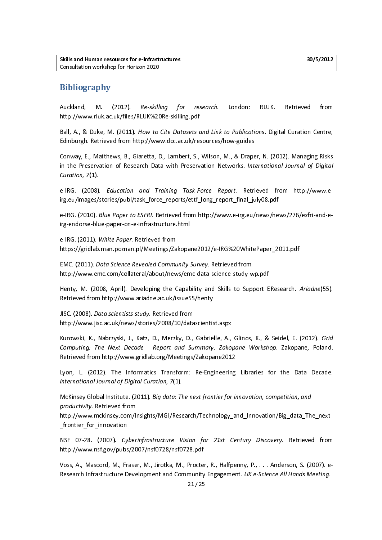## **Bibliography**

Auckland, M. (2012). Re-skilling for research. London: RLOK. Retrieved from<br>http://www.rluk.ac.uk/files/RLUK%20Re-skilling.pdf<br>Ball, A., & Duke, M. (2011). How to Cite Datasets and Link to Publications. Digital Curation Ce

ال المريد.<br>Ball, A., & Duke, M. (2011). How to Cite Datasets c<br>Edinburgh. Retrieved from http://www.dcc.ac.uk/re: Ball, A., & Bake, M. (2011). How to the Butasets and Link to Publications. Bigital Curation Centre,<br>Edinburgh. Retrieved from http://www.dcc.ac.uk/resources/how-guides<br>Conway, E., Matthews, B., Giaretta, D., Lambert, S., W

Edinburgh. Retrieved from http://www.decartan.g.com/edinburgh.<br>Conway, E., Matthews, B., Giaretta, D., Lambert, S., Wilson, M., & Drape<br>in the Preservation of Research Data with Preservation Networks. Int in the Preservation of Research Data with Preservation Networks. International Journal of Digital<br>Curation, 7(1).

e-IRG. (2008). *Education and Training Task-Force Report*. Retrieved from http://www.eirg.eu/images/stories/publ/task force reports/ettf long report final july08.pdf e-ind. (2000). Education and Training Task-Force Report. Retrieved from http://www.c<br>irg.eu/images/stories/publ/task\_force\_reports/ettf\_long\_report\_final\_july08.pdf<br>e-IRG. (2010). *Blue Paper to ESFRI.* Retrieved from http

irg.eu/images/stories/publ/tanges/story.com\_reports/ett<sub>er</sub>reng\_report\_numa\_july0et<sub>p</sub>ubl<br>e-IRG. (2010). *Blue Paper to ESFRI*. Retrieved from http://www.e-irg.eu/news/ne<br>irg-endorse-blue-paper-on-e-infrastructure.html irg-endorse-blue-paper-on-e-infrastructure.html<br>e-IRG. (2011). White Paper. Retrieved from

irg-endorse-blue-paper-on-e-infrastructure.html<br>e-IRG. (2011). *White Paper.* Retrieved from<br>https://gridlab.man.poznan.pl/Meetings/Zakopa e-IRG. (2011). White Paper. Retrieved from<br>https://gridlab.man.poznan.pl/Meetings/Za<br>EMC. (2011). *Data Science Revealed Commu* 

المستقال المستقلة المستقلة المستقلة المستقلة المستقلة المستقلة المستقلة المستقلة المستقلة المستقلة المستقلة ال<br>http://www.emc.com/collateral/about/news/emc-data-science-study-wp.pdf EMC. (2011). *Data Science Revealed Community Survey*. Retrieved from<br>http://www.emc.com/collateral/about/news/emc-data-science-study-w<br>Henty, M. (2008, April). Developing the Capability and Skills to Sup

Henty, M. (2008, April). Developing the Capability and Skills to Support EResearch. Ariadne(55). Retrieved from http://www.ariadne.ac.uk/issue55/henty<br>JISC. (2008). Data scientists study. Retrieved from

Retrieved from http://www.hariadne.ac.uk/issuess<sub>/main</sub><br>JISC. (2008). *Data scientists study.* Retrieved from<br>http://www.jisc.ac.uk/news/stories/2008/10/datascientis 115C. (2000). *Data scientists study.* Retrieved from<br>http://www.jisc.ac.uk/news/stories/2008/10/data<br>Kurowski, K., Nabrzyski, J., Katz, D., Merzky, D.,

http://www.jisc.ac.uk/news/stories/2008<br>Kurowski, K., Nabrzyski, J., Katz, D., Merzky, D., Gabrielle, A.,<br>Computing: The Next Decade - Report and Summary. Zako, Kurowski, K., Nabrzyski, J., Katz, D., Merzky, D., Gabrielle, A., Gillios, K., & Seidel, E. (2012). Grid<br>Computing: The Next Decade - Report and Summary. Zakopane Workshop. Zakopane, Poland.<br>Retrieved from http://www.gridl Computing: The Next Decade - Report and Summary. Zakopane Workshop. Zakopane, Poland.<br>Retrieved from http://www.gridlab.org/Meetings/Zakopane2012<br>Lyon, L. (2012). The Informatics Transform: Re-Engineering Libraries for the

Retrieved from http://www.gridlab.org/Meetings/2012-2012<br>Lyon, L. (2012). The Informatics Transform: Re-Engineering<br>International Journal of Digital Curation, 7(1). International Journal of Digital Curation, 7(1).<br>McKinsey Global Institute. (2011). Big data: The next frontier for innovation, competition, and

International Journal of Digital Curation, 7(1).<br>McKinsey Global Institute. (2011). *Big data: Theroductivity.* Retrieved from

McKinsey Global Institute. (2011). Big data: The next frontier for innovation, competition, and<br>productivity. Retrieved from<br>http://www.mckinsey.com/Insights/MGI/Research/Technology\_and\_Innovation/Big\_data\_Th<br>frontier for productivity. Retrieved from<br>http://www.mckinsey.com/l<br>\_frontier\_for\_innovation http://www.mckinsey.com/Insights/MGI/Research/Technology\_and\_Innovation/Big\_data\_The\_next

\_frontier\_for\_innovation http://www.nsf.gov/pubs/2007/nsf0728/nsf0728.pdf<br>Voss, A., Mascord, M., Fraser, M., Jirotka, M., Procter, R., Halfpenny, P., . . . Anderson, S. (2007). e-

Research Infrastructure Development and Community Engagement. UK e-Science All Hands Meeting. Research Infrastructure Development and Community Engagement. OK e-Science All Hands Meeting.<br>21/25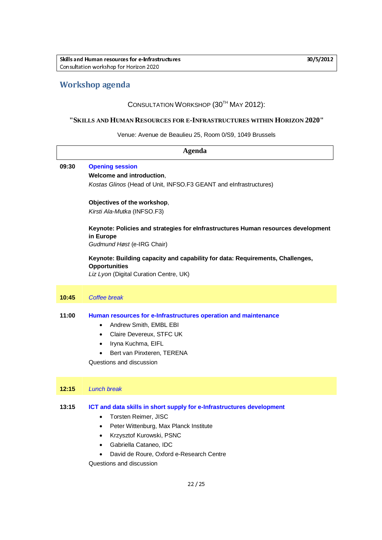## Workshop agenda

## CONSULTATION WORKSHOP (30<sup>TH</sup> MAY 2012):

#### **"SKILLS AND HUMAN RESOURCES FOR E-INFRASTRUCTURES WITHIN HORIZON 2020"**

Venue: Avenue de Beaulieu 25, Room 0/S9, 1049 Brussels

| Agenda |                                                                                                                                                                                                                                      |  |
|--------|--------------------------------------------------------------------------------------------------------------------------------------------------------------------------------------------------------------------------------------|--|
| 09:30  | <b>Opening session</b><br>Welcome and introduction,<br>Kostas Glinos (Head of Unit, INFSO.F3 GEANT and eInfrastructures)                                                                                                             |  |
|        | Objectives of the workshop,<br>Kirsti Ala-Mutka (INFSO.F3)                                                                                                                                                                           |  |
|        | Keynote: Policies and strategies for elnfrastructures Human resources development<br>in Europe<br>Gudmund Høst (e-IRG Chair)                                                                                                         |  |
|        | Keynote: Building capacity and capability for data: Requirements, Challenges,<br><b>Opportunities</b><br>Liz Lyon (Digital Curation Centre, UK)                                                                                      |  |
| 10:45  | Coffee break                                                                                                                                                                                                                         |  |
| 11:00  | Human resources for e-Infrastructures operation and maintenance<br>Andrew Smith, EMBL EBI<br>$\bullet$<br>Claire Devereux, STFC UK<br>$\bullet$<br>Iryna Kuchma, EIFL<br>٠<br>Bert van Pinxteren, TERENA<br>Questions and discussion |  |
| 12:15  | <b>Lunch break</b>                                                                                                                                                                                                                   |  |
| 13:15  | ICT and data skills in short supply for e-Infrastructures development<br>Torsten Reimer, JISC                                                                                                                                        |  |

- Peter Wittenburg, Max Planck Institute
- Krzysztof Kurowski, PSNC
- Gabriella Cataneo, IDC
- David de Roure, Oxford e-Research Centre

Questions and discussion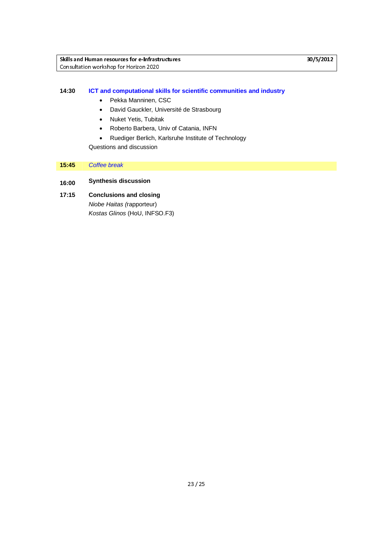#### **14:30 ICT and computational skills for scientific communities and industry**

- Pekka Manninen, CSC
- David Gauckler, Université de Strasbourg
- Nuket Yetis, Tubitak
- Roberto Barbera, Univ of Catania, INFN
- Ruediger Berlich, Karlsruhe Institute of Technology

Questions and discussion

#### **15:45** *Coffee break*

## **16:00 Synthesis discussion**

**17:15 Conclusions and closing**  *Niobe Haitas (*rapporteur) *Kostas Glinos* (HoU, INFSO.F3)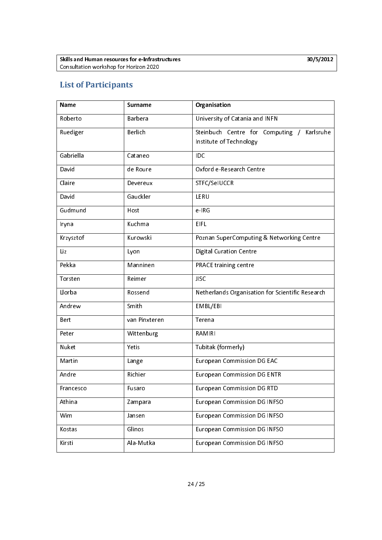## List of Participants

| <b>Name</b> | <b>Surname</b> | Organisation                                                          |
|-------------|----------------|-----------------------------------------------------------------------|
| Roberto     | Barbera        | University of Catania and INFN                                        |
| Ruediger    | Berlich        | Steinbuch Centre for Computing / Karlsruhe<br>Institute of Technology |
| Gabriella   | Cataneo        | IDC                                                                   |
| David       | de Roure       | Oxford e-Research Centre                                              |
| Claire      | Devereux       | STFC/SelUCCR                                                          |
| David       | Gauckler       | LERU                                                                  |
| Gudmund     | Host           | e-IRG                                                                 |
| Iryna       | Kuchma         | <b>EIFL</b>                                                           |
| Krzysztof   | Kurowski       | Poznan SuperComputing & Networking Centre                             |
| Liz         | Lyon           | <b>Digital Curation Centre</b>                                        |
| Pekka       | Manninen       | PRACE training centre                                                 |
| Torsten     | Reimer         | <b>JISC</b>                                                           |
| Llorba      | Rossend        | Netherlands Organisation for Scientific Research                      |
| Andrew      | Smith          | EMBL/EBI                                                              |
| Bert        | van Pinxteren  | Terena                                                                |
| Peter       | Wittenburg     | <b>RAMIRI</b>                                                         |
| Nuket       | Yetis          | Tubitak (formerly)                                                    |
| Martin      | Lange          | <b>European Commission DG EAC</b>                                     |
| Andre       | Richier        | <b>European Commission DG ENTR</b>                                    |
| Francesco   | Fusaro         | <b>European Commission DG RTD</b>                                     |
| Athina      | Zampara        | <b>European Commission DG INFSO</b>                                   |
| Wim         | Jansen         | <b>European Commission DG INFSO</b>                                   |
| Kostas      | Glinos         | <b>European Commission DG INFSO</b>                                   |
| Kirsti      | Ala-Mutka      | <b>European Commission DG INFSO</b>                                   |
|             |                |                                                                       |